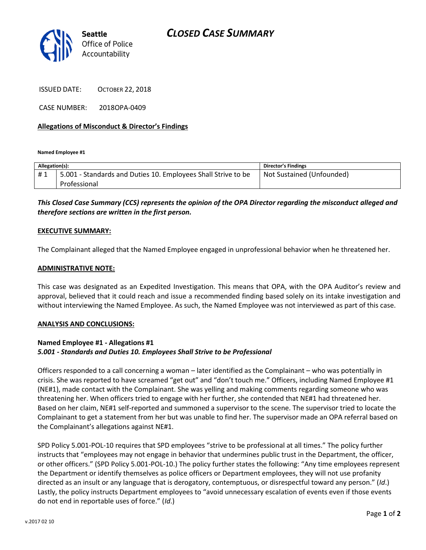

ISSUED DATE: OCTOBER 22, 2018

CASE NUMBER: 2018OPA-0409

## **Allegations of Misconduct & Director's Findings**

**Named Employee #1**

| Allegation(s): |                                                                               | <b>Director's Findings</b> |
|----------------|-------------------------------------------------------------------------------|----------------------------|
| #1             | 5.001 - Standards and Duties 10. Employees Shall Strive to be<br>Professional | Not Sustained (Unfounded)  |

# *This Closed Case Summary (CCS) represents the opinion of the OPA Director regarding the misconduct alleged and therefore sections are written in the first person.*

## **EXECUTIVE SUMMARY:**

The Complainant alleged that the Named Employee engaged in unprofessional behavior when he threatened her.

#### **ADMINISTRATIVE NOTE:**

This case was designated as an Expedited Investigation. This means that OPA, with the OPA Auditor's review and approval, believed that it could reach and issue a recommended finding based solely on its intake investigation and without interviewing the Named Employee. As such, the Named Employee was not interviewed as part of this case.

# **ANALYSIS AND CONCLUSIONS:**

# **Named Employee #1 - Allegations #1** *5.001 - Standards and Duties 10. Employees Shall Strive to be Professional*

Officers responded to a call concerning a woman – later identified as the Complainant – who was potentially in crisis. She was reported to have screamed "get out" and "don't touch me." Officers, including Named Employee #1 (NE#1), made contact with the Complainant. She was yelling and making comments regarding someone who was threatening her. When officers tried to engage with her further, she contended that NE#1 had threatened her. Based on her claim, NE#1 self-reported and summoned a supervisor to the scene. The supervisor tried to locate the Complainant to get a statement from her but was unable to find her. The supervisor made an OPA referral based on the Complainant's allegations against NE#1.

SPD Policy 5.001-POL-10 requires that SPD employees "strive to be professional at all times." The policy further instructs that "employees may not engage in behavior that undermines public trust in the Department, the officer, or other officers." (SPD Policy 5.001-POL-10.) The policy further states the following: "Any time employees represent the Department or identify themselves as police officers or Department employees, they will not use profanity directed as an insult or any language that is derogatory, contemptuous, or disrespectful toward any person." (*Id*.) Lastly, the policy instructs Department employees to "avoid unnecessary escalation of events even if those events do not end in reportable uses of force." (*Id*.)